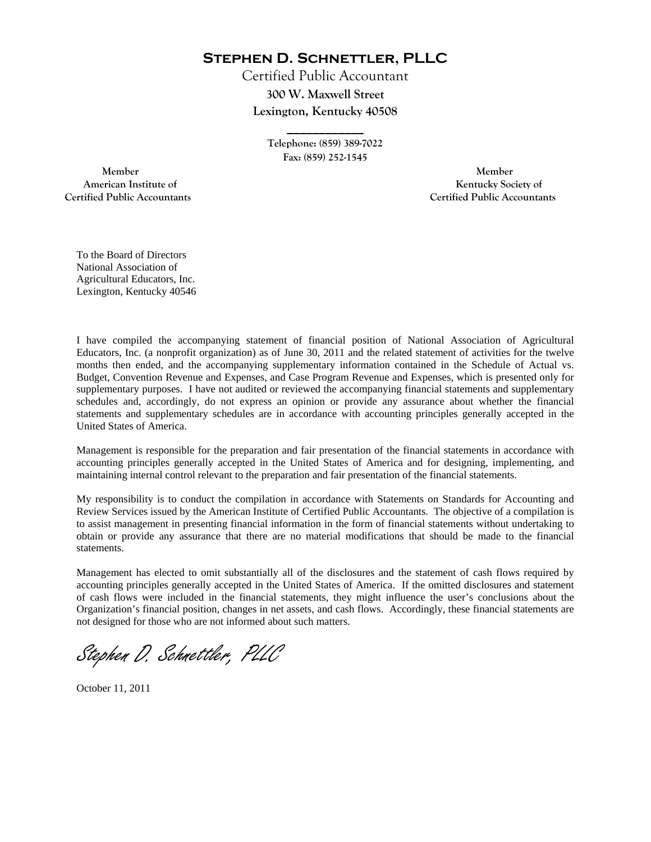**Stephen D. Schnettler, PLLC**

Certified Public Accountant **300 W. Maxwell Street Lexington, Kentucky 40508** 

> **Telephone: (859) 389-7022 Fax: (859) 252-1545**

**\_\_\_\_\_\_\_\_\_\_\_\_** 

 **Member Member Certified Public Accountants Certified Public Accountants** 

American Institute of **Kentucky Society of American Institute of** 

To the Board of Directors National Association of Agricultural Educators, Inc. Lexington, Kentucky 40546

I have compiled the accompanying statement of financial position of National Association of Agricultural Educators, Inc. (a nonprofit organization) as of June 30, 2011 and the related statement of activities for the twelve months then ended, and the accompanying supplementary information contained in the Schedule of Actual vs. Budget, Convention Revenue and Expenses, and Case Program Revenue and Expenses, which is presented only for supplementary purposes. I have not audited or reviewed the accompanying financial statements and supplementary schedules and, accordingly, do not express an opinion or provide any assurance about whether the financial statements and supplementary schedules are in accordance with accounting principles generally accepted in the United States of America.

Management is responsible for the preparation and fair presentation of the financial statements in accordance with accounting principles generally accepted in the United States of America and for designing, implementing, and maintaining internal control relevant to the preparation and fair presentation of the financial statements.

My responsibility is to conduct the compilation in accordance with Statements on Standards for Accounting and Review Services issued by the American Institute of Certified Public Accountants. The objective of a compilation is to assist management in presenting financial information in the form of financial statements without undertaking to obtain or provide any assurance that there are no material modifications that should be made to the financial statements.

Management has elected to omit substantially all of the disclosures and the statement of cash flows required by accounting principles generally accepted in the United States of America. If the omitted disclosures and statement of cash flows were included in the financial statements, they might influence the user's conclusions about the Organization's financial position, changes in net assets, and cash flows. Accordingly, these financial statements are not designed for those who are not informed about such matters.

Stephen D. Schnettler, PLLC

October 11, 2011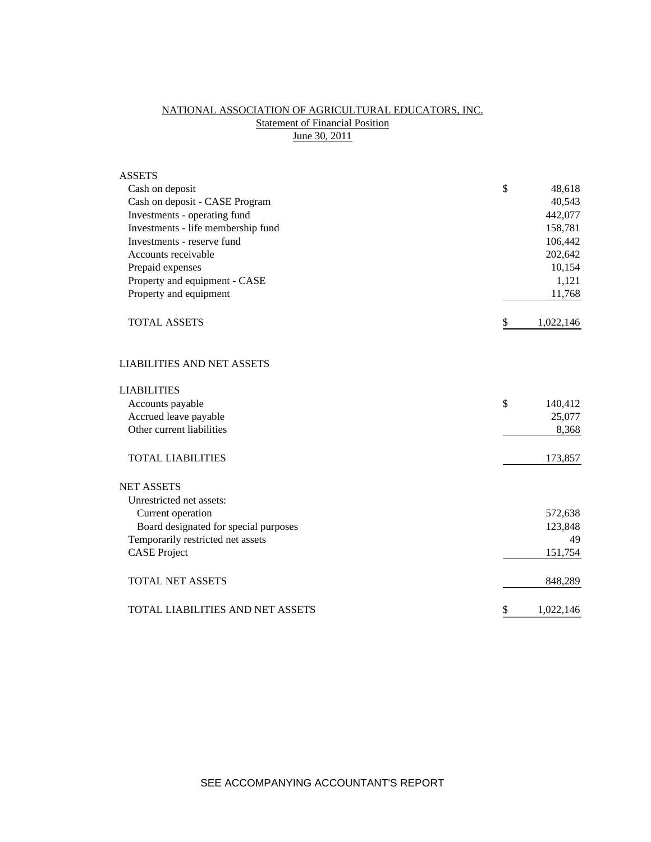## NATIONAL ASSOCIATION OF AGRICULTURAL EDUCATORS, INC. **Statement of Financial Position** June 30, 2011

| <b>ASSETS</b>                         |                 |    |
|---------------------------------------|-----------------|----|
| Cash on deposit                       | \$<br>48,618    |    |
| Cash on deposit - CASE Program        | 40,543          |    |
| Investments - operating fund          | 442,077         |    |
| Investments - life membership fund    | 158,781         |    |
| Investments - reserve fund            | 106,442         |    |
| Accounts receivable                   | 202,642         |    |
| Prepaid expenses                      | 10,154          |    |
| Property and equipment - CASE         | 1,121           |    |
| Property and equipment                | 11,768          |    |
| <b>TOTAL ASSETS</b>                   | \$<br>1,022,146 |    |
| <b>LIABILITIES AND NET ASSETS</b>     |                 |    |
| <b>LIABILITIES</b>                    |                 |    |
| Accounts payable                      | \$<br>140,412   |    |
| Accrued leave payable                 | 25,077          |    |
| Other current liabilities             | 8,368           |    |
| <b>TOTAL LIABILITIES</b>              | 173,857         |    |
| <b>NET ASSETS</b>                     |                 |    |
| Unrestricted net assets:              |                 |    |
| Current operation                     | 572,638         |    |
| Board designated for special purposes | 123,848         |    |
| Temporarily restricted net assets     |                 | 49 |
| <b>CASE Project</b>                   | 151,754         |    |
| <b>TOTAL NET ASSETS</b>               | 848,289         |    |
| TOTAL LIABILITIES AND NET ASSETS      | \$<br>1,022,146 |    |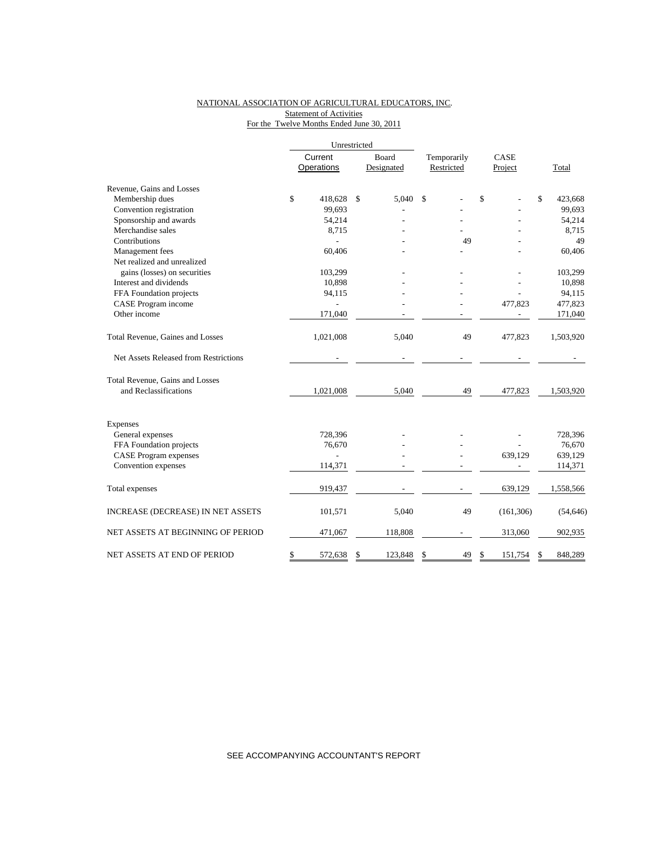### NATIONAL ASSOCIATION OF AGRICULTURAL EDUCATORS, INC. Statement of Activities For the Twelve Months Ended June 30, 2011

|                                       |                | Unrestricted |            |             |    |      |            |               |
|---------------------------------------|----------------|--------------|------------|-------------|----|------|------------|---------------|
|                                       | Current        |              | Board      | Temporarily |    | CASE |            |               |
|                                       | Operations     |              | Designated | Restricted  |    |      | Project    | Total         |
| Revenue, Gains and Losses             |                |              |            |             |    |      |            |               |
| Membership dues                       | \$<br>418,628  | \$           | 5,040      | \$          |    | \$   |            | \$<br>423,668 |
| Convention registration               | 99,693         |              |            |             |    |      |            | 99,693        |
| Sponsorship and awards                | 54,214         |              |            |             |    |      |            | 54,214        |
| Merchandise sales                     | 8,715          |              |            |             |    |      |            | 8,715         |
| Contributions                         |                |              |            |             | 49 |      |            | 49            |
| Management fees                       | 60,406         |              |            |             |    |      |            | 60,406        |
| Net realized and unrealized           |                |              |            |             |    |      |            |               |
| gains (losses) on securities          | 103,299        |              |            |             |    |      |            | 103,299       |
| Interest and dividends                | 10,898         |              |            |             |    |      |            | 10,898        |
| FFA Foundation projects               | 94,115         |              |            |             |    |      |            | 94,115        |
| CASE Program income                   |                |              |            |             |    |      | 477,823    | 477,823       |
| Other income                          | 171,040        |              |            |             |    |      |            | 171,040       |
| Total Revenue, Gaines and Losses      | 1,021,008      |              | 5,040      |             | 49 |      | 477,823    | 1,503,920     |
| Net Assets Released from Restrictions |                |              |            |             |    |      |            |               |
| Total Revenue, Gains and Losses       |                |              |            |             |    |      |            |               |
| and Reclassifications                 | 1,021,008      |              | 5,040      |             | 49 |      | 477,823    | 1,503,920     |
| <b>Expenses</b>                       |                |              |            |             |    |      |            |               |
| General expenses                      | 728,396        |              |            |             |    |      |            | 728,396       |
| FFA Foundation projects               | 76,670         |              |            |             |    |      |            | 76,670        |
| <b>CASE</b> Program expenses          | $\overline{a}$ |              |            |             |    |      | 639,129    | 639,129       |
| Convention expenses                   | 114,371        |              |            |             |    |      |            | 114,371       |
|                                       |                |              |            |             |    |      |            |               |
| Total expenses                        | 919,437        |              |            |             |    |      | 639,129    | 1,558,566     |
| INCREASE (DECREASE) IN NET ASSETS     | 101,571        |              | 5,040      |             | 49 |      | (161, 306) | (54, 646)     |
| NET ASSETS AT BEGINNING OF PERIOD     | 471,067        |              | 118,808    |             |    |      | 313,060    | 902,935       |
| NET ASSETS AT END OF PERIOD           | \$<br>572,638  | \$           | 123,848    | \$          | 49 | \$   | 151,754    | \$<br>848,289 |

SEE ACCOMPANYING ACCOUNTANT'S REPORT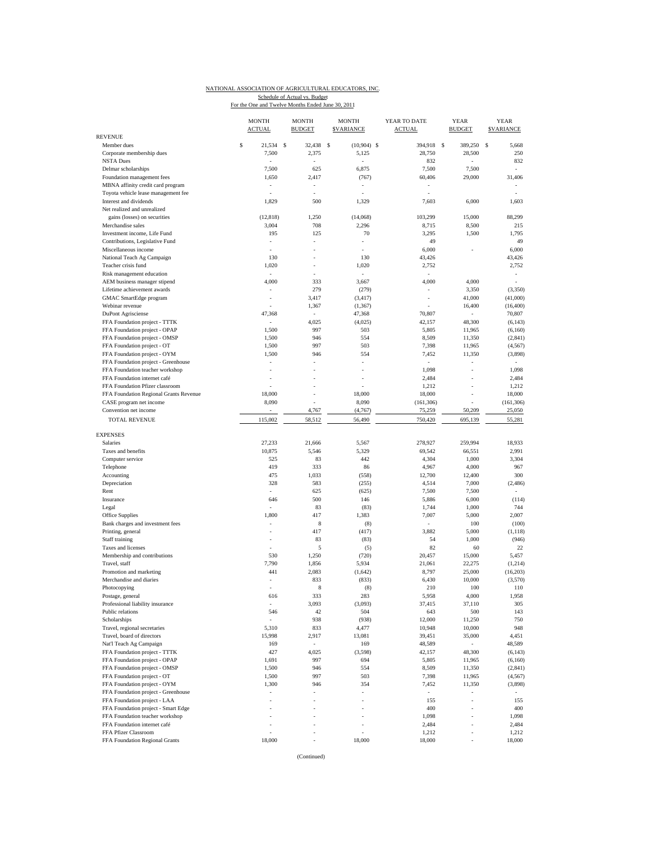### NATIONAL ASSOCIATION OF AGRICULTURAL EDUCATORS, INC. Schedule of Actual vs. Budget<br>For the One and Twelve Months Ended June 30, 2011

|                                                         | <b>MONTH</b><br><b>ACTUAL</b>  |   | <b>MONTH</b><br><b>BUDGET</b> | <b>MONTH</b><br><b>SVARIANCE</b> | YEAR TO DATE<br><b>ACTUAL</b> | <b>YEAR</b><br><b>BUDGET</b> | <b>YEAR</b><br><b>\$VARIANCE</b> |
|---------------------------------------------------------|--------------------------------|---|-------------------------------|----------------------------------|-------------------------------|------------------------------|----------------------------------|
| <b>REVENUE</b>                                          |                                |   |                               |                                  |                               |                              |                                  |
| Member dues<br>Corporate membership dues                | \$<br>21,534                   | S | 32,438                        | \$<br>$(10,904)$ \$              | 394,918                       | -S<br>389,250                | s<br>5,668                       |
|                                                         | 7,500                          |   | 2,375                         | 5,125                            | 28,750<br>832                 | 28,500                       | 250<br>832                       |
| <b>NSTA Dues</b><br>Delmar scholarships                 | 7,500                          |   | 625                           | 6,875                            | 7,500                         | 7,500                        | ÷                                |
| Foundation management fees                              | 1,650                          |   | 2,417                         | (767)                            | 60,406                        | 29,000                       | 31,406                           |
| MBNA affinity credit card program                       | ä,                             |   | ä,                            |                                  |                               |                              |                                  |
| Toyota vehicle lease management fee                     | í,                             |   | ٠                             |                                  | ÷,                            |                              |                                  |
| Interest and dividends                                  | 1,829                          |   | 500                           | 1,329                            | 7,603                         | 6,000                        | 1,603                            |
| Net realized and unrealized                             |                                |   |                               |                                  |                               |                              |                                  |
|                                                         | (12, 818)                      |   | 1,250                         | (14,068)                         | 103,299                       | 15,000                       | 88,299                           |
| gains (losses) on securities<br>Merchandise sales       |                                |   | 708                           |                                  |                               |                              |                                  |
| Investment income, Life Fund                            | 3,004                          |   | 125                           | 2,296                            | 8,715                         | 8,500                        | 215<br>1,795                     |
|                                                         | 195                            |   | ٠                             | 70<br>٠                          | 3,295<br>49                   | 1,500                        | 49                               |
| Contributions, Legislative Fund<br>Miscellaneous income | $\overline{\phantom{a}}$<br>ä, |   |                               |                                  | 6,000                         | $\overline{\phantom{a}}$     | 6,000                            |
|                                                         | 130                            |   |                               | 130                              | 43,426                        |                              | 43,426                           |
| National Teach Ag Campaign                              |                                |   | ä,                            | 1,020                            |                               |                              | 2,752                            |
| Teacher crisis fund                                     | 1,020                          |   |                               |                                  | 2,752                         |                              |                                  |
| Risk management education                               | $\sim$                         |   | ä,                            | $\sim$                           | $\sim$                        |                              | $\sim$                           |
| AEM business manager stipend                            | 4,000                          |   | 333                           | 3,667                            | 4,000                         | 4,000                        | ÷,                               |
| Lifetime achievement awards                             |                                |   | 279                           | (279)                            |                               | 3,350                        | (3,350)                          |
| GMAC SmartEdge program                                  | i,                             |   | 3,417                         | (3, 417)                         | $\overline{\phantom{a}}$      | 41,000                       | (41,000)                         |
| Webinar revenue                                         |                                |   | 1,367                         | (1, 367)                         | i,                            | 16,400                       | (16, 400)                        |
| <b>DuPont Agrisciense</b>                               | 47,368                         |   | ÷,                            | 47,368                           | 70,807                        |                              | 70,807                           |
| FFA Foundation project - TTTK                           | $\sim$                         |   | 4,025                         | (4,025)                          | 42,157                        | 48,300                       | (6, 143)                         |
| FFA Foundation project - OPAP                           | 1,500                          |   | 997                           | 503                              | 5,805                         | 11.965                       | (6,160)                          |
| FFA Foundation project - OMSP                           | 1,500                          |   | 946                           | 554                              | 8,509                         | 11,350                       | (2, 841)                         |
| FFA Foundation project - OT                             | 1,500                          |   | 997                           | 503                              | 7,398                         | 11,965                       | (4, 567)                         |
| FFA Foundation project - OYM                            | 1,500                          |   | 946                           | 554                              | 7,452                         | 11,350                       | (3,898)                          |
| FFA Foundation project - Greenhouse                     |                                |   |                               |                                  |                               |                              |                                  |
| FFA Foundation teacher workshop                         |                                |   |                               |                                  | 1,098                         |                              | 1,098                            |
| FFA Foundation internet café                            |                                |   |                               |                                  | 2,484                         | ä,                           | 2,484                            |
| FFA Foundation Pfizer classroom                         |                                |   |                               |                                  | 1,212                         | ä,                           | 1,212                            |
| FFA Foundation Regional Grants Revenue                  | 18,000                         |   |                               | 18,000                           | 18,000                        | ä,                           | 18,000                           |
| CASE program net income                                 | 8,090                          |   |                               | 8,090                            | (161, 306)                    |                              | (161, 306)                       |
| Convention net income                                   |                                |   | 4,767                         | (4,767)                          | 75,259                        | 50,209                       | 25,050                           |
| TOTAL REVENUE                                           | 115,002                        |   | 58,512                        | 56,490                           | 750,420                       | 695,139                      | 55,281                           |
|                                                         |                                |   |                               |                                  |                               |                              |                                  |
| <b>EXPENSES</b>                                         |                                |   |                               |                                  |                               |                              |                                  |
| Salaries                                                | 27,233                         |   | 21,666                        | 5,567                            | 278,927                       | 259,994                      | 18,933                           |
| Taxes and benefits                                      | 10,875                         |   | 5,546                         | 5,329                            | 69,542                        | 66,551                       | 2,991                            |
| Computer service                                        | 525                            |   | 83                            | 442                              | 4,304                         | 1,000                        | 3,304                            |
| Telephone                                               | 419                            |   | 333                           | 86                               | 4,967                         | 4,000                        | 967                              |
| Accounting                                              | 475                            |   | 1,033                         | (558)                            | 12,700                        | 12,400                       | 300                              |
| Depreciation                                            | 328                            |   | 583                           | (255)                            | 4,514                         | 7,000                        | (2, 486)                         |
| Rent                                                    | ÷                              |   | 625                           | (625)                            | 7,500                         | 7,500                        |                                  |
| Insurance                                               | 646                            |   | 500                           | 146                              | 5,886                         | 6,000                        | (114)                            |
| Legal                                                   |                                |   | 83                            | (83)                             | 1,744                         | 1,000                        | 744                              |
| Office Supplies                                         | 1,800                          |   | 417                           | 1,383                            | 7,007                         | 5,000                        | 2,007                            |
| Bank charges and investment fees                        |                                |   | 8                             | (8)                              | $\mathcal{L}_{\mathcal{A}}$   | 100                          | (100)                            |
| Printing, general                                       | ÷,                             |   | 417                           | (417)                            | 3,882                         | 5,000                        | (1, 118)                         |
| Staff training                                          |                                |   | 83                            | (83)                             | 54                            | 1,000                        | (946)                            |
| Taxes and licenses                                      | ä,                             |   | 5                             | (5)                              | 82                            | 60                           | 22                               |
| Membership and contributions                            | 530                            |   | 1,250                         | (720)                            | 20,457                        | 15,000                       | 5,457                            |
| Travel, staff                                           | 7,790                          |   | 1,856                         | 5,934                            | 21,061                        | 22,275                       | (1,214)                          |
| Promotion and marketing                                 | 441                            |   | 2,083                         | (1,642)                          | 8,797                         | 25,000                       | (16,203)                         |
| Merchandise and diaries                                 | $\bar{a}$                      |   | 833                           | (833)                            | 6,430                         | 10,000                       | (3,570)                          |
| Photocopying                                            |                                |   | 8                             | (8)                              | 210                           | 100                          | 110                              |
|                                                         |                                |   |                               |                                  |                               |                              | 1,958                            |
| Postage, general                                        | 616                            |   | 333                           | 283<br>(3,093)                   | 5,958                         | 4,000<br>37,110              |                                  |
| Professional liability insurance                        |                                |   | 3,093                         |                                  | 37,415                        |                              | 305                              |
| Public relations                                        | 546                            |   | 42                            | 504                              | 643                           | 500                          | 143                              |
| Scholarships                                            | i,                             |   | 938                           | (938)                            | 12,000                        | 11,250                       | 750                              |
| Travel, regional secretaries                            | 5,310                          |   | 833                           | 4,477                            | 10,948                        | 10,000                       | 948                              |
| Travel, board of directors                              | 15,998                         |   | 2,917                         | 13,081                           | 39,451                        | 35,000                       | 4,451                            |
| Nat'l Teach Ag Campaign                                 | 169                            |   | $\overline{\phantom{a}}$      | 169                              | 48,589                        | $\sim$                       | 48,589                           |
| FFA Foundation project - TTTK                           | 427                            |   | 4,025                         | (3,598)                          | 42,157                        | 48,300                       | (6, 143)                         |
| FFA Foundation project - OPAP                           | 1,691                          |   | 997                           | 694                              | 5,805                         | 11,965                       | (6,160)                          |
| FFA Foundation project - OMSP                           | 1,500                          |   | 946                           | 554                              | 8,509                         | 11,350                       | (2, 841)                         |
| FFA Foundation project - OT                             | 1,500                          |   | 997                           | 503                              | 7,398                         | 11,965                       | (4, 567)                         |
| FFA Foundation project - OYM                            | 1,300                          |   | 946                           | 354                              | 7,452                         | 11,350                       | (3,898)                          |
| FFA Foundation project - Greenhouse                     |                                |   |                               | $\bar{a}$                        |                               |                              |                                  |
| FFA Foundation project - LAA                            | ÷,                             |   | ÷,                            |                                  | 155                           | ÷,                           | 155                              |
| FFA Foundation project - Smart Edge                     |                                |   | ÷,                            |                                  | 400                           | ÷,                           | 400                              |
| FFA Foundation teacher workshop                         | ł,                             |   |                               |                                  | 1,098                         | ÷,                           | 1,098                            |
| FFA Foundation internet café                            |                                |   |                               |                                  | 2,484                         |                              | 2,484                            |
| FFA Pfizer Classroom                                    |                                |   |                               |                                  | 1,212                         | ÷,                           | 1,212                            |
|                                                         |                                |   |                               | 18,000                           |                               |                              | 18,000                           |
| FFA Foundation Regional Grants                          | 18,000                         |   |                               |                                  | 18,000                        |                              |                                  |

(Continued)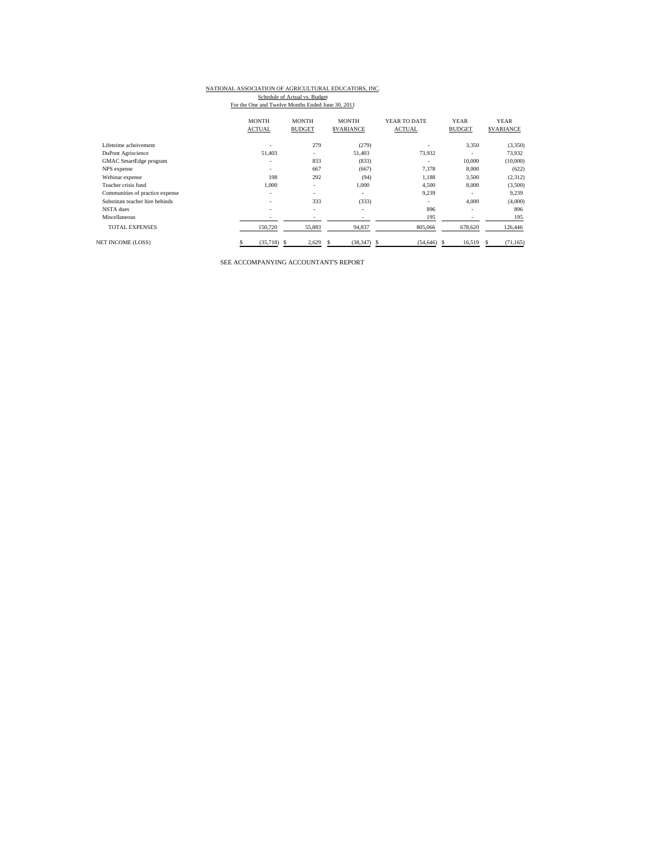# NATIONAL ASSOCIATION OF AGRICULTURAL EDUCATORS, INC.

Schedule of Actual vs. Budget<br>For the One and Twelve Months Ended June 30, 2011

| <b>MONTH</b><br><b>MONTH</b><br><b>MONTH</b><br>YEAR TO DATE<br><b>YEAR</b><br><b>ACTUAL</b><br><b>ACTUAL</b><br><b>BUDGET</b><br><b>SVARIANCE</b><br><b>BUDGET</b> | <b>YEAR</b><br><b>SVARIANCE</b> |
|---------------------------------------------------------------------------------------------------------------------------------------------------------------------|---------------------------------|
|                                                                                                                                                                     |                                 |
| 279<br>Lifeteime acheivement<br>(279)<br>3,350<br>٠<br>$\overline{\phantom{a}}$                                                                                     | (3,350)                         |
| 51.403<br>73.932<br>51.403<br>DuPont Agriscience<br>$\overline{\phantom{a}}$<br>$\overline{\phantom{a}}$                                                            | 73.932                          |
| 833<br>10,000<br>(833)<br>GMAC SmartEdge program<br>٠<br>$\overline{\phantom{a}}$                                                                                   | (10,000)                        |
| 667<br>(667)<br>7,378<br>8,000<br>NPS expense<br>$\overline{\phantom{a}}$                                                                                           | (622)                           |
| 198<br>292<br>1,188<br>3,500<br>Webinar expense<br>(94)                                                                                                             | (2,312)                         |
| Teacher crisis fund<br>1,000<br>1,000<br>4,500<br>8,000<br>$\overline{\phantom{a}}$                                                                                 | (3,500)                         |
| 9,239<br>Communities of practice expense<br>٠<br>$\overline{\phantom{a}}$<br>۰<br>$\overline{\phantom{a}}$                                                          | 9,239                           |
| 333<br>(333)<br>4,000<br>Substitute teacher hire behinds<br>$\overline{\phantom{a}}$<br>$\sim$                                                                      | (4,000)                         |
| NSTA dues<br>896<br>٠<br>$\overline{\phantom{a}}$<br>$\overline{\phantom{a}}$<br>$\overline{\phantom{a}}$                                                           | 896                             |
| Miscellaneous<br>195<br>٠<br>$\overline{\phantom{a}}$<br>-                                                                                                          | 195                             |
| <b>TOTAL EXPENSES</b><br>150,720<br>94,837<br>55,883<br>805,066<br>678,620                                                                                          | 126,446                         |
| (35,718)<br>2,629<br>$(38, 347)$ \$<br>16,519<br><b>NET INCOME (LOSS)</b><br>$(54, 646)$ \$<br>-S<br>S.                                                             | (71, 165)<br>S.                 |

SEE ACCOMPANYING ACCOUNTANT'S REPORT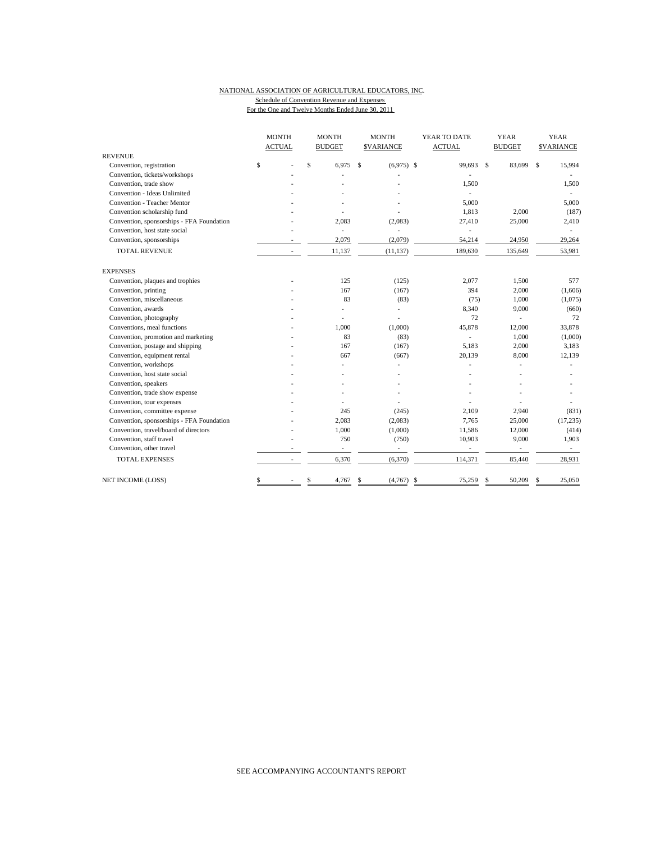## NATIONAL ASSOCIATION OF AGRICULTURAL EDUCATORS, INC. Schedule of Convention Revenue and Expenses

For the One and Twelve Months Ended June 30, 2011

|                                           | <b>MONTH</b>             |              | <b>MONTH</b>             |             | <b>MONTH</b>             | YEAR TO DATE             |   | <b>YEAR</b>              |    | <b>YEAR</b>      |  |
|-------------------------------------------|--------------------------|--------------|--------------------------|-------------|--------------------------|--------------------------|---|--------------------------|----|------------------|--|
|                                           | <b>ACTUAL</b>            |              | <b>BUDGET</b>            |             | <b>SVARIANCE</b>         | <b>ACTUAL</b>            |   | <b>BUDGET</b>            |    | <b>SVARIANCE</b> |  |
| <b>REVENUE</b>                            |                          |              |                          |             |                          |                          |   |                          |    |                  |  |
| Convention, registration                  | \$                       | $\mathsf{s}$ | 6.975                    | $\mathbf S$ | $(6,975)$ \$             | 99.693 \$                |   | 83,699                   | s. | 15,994           |  |
| Convention, tickets/workshops             |                          |              |                          |             |                          |                          |   |                          |    |                  |  |
| Convention, trade show                    |                          |              |                          |             |                          | 1,500                    |   |                          |    | 1,500            |  |
| Convention - Ideas Unlimited              |                          |              |                          |             |                          | ÷,                       |   |                          |    |                  |  |
| <b>Convention - Teacher Mentor</b>        |                          |              |                          |             |                          | 5.000                    |   |                          |    | 5,000            |  |
| Convention scholarship fund               |                          |              |                          |             |                          | 1,813                    |   | 2,000                    |    | (187)            |  |
| Convention, sponsorships - FFA Foundation |                          |              | 2,083                    |             | (2,083)                  | 27,410                   |   | 25,000                   |    | 2,410            |  |
| Convention, host state social             |                          |              | ä,                       |             | ä,                       | ÷,                       |   |                          |    | $\sim$           |  |
| Convention, sponsorships                  |                          |              | 2,079                    |             | (2,079)                  | 54,214                   |   | 24,950                   |    | 29,264           |  |
| <b>TOTAL REVENUE</b>                      | $\overline{\phantom{a}}$ |              | 11,137                   |             | (11, 137)                | 189,630                  |   | 135,649                  |    | 53,981           |  |
| <b>EXPENSES</b>                           |                          |              |                          |             |                          |                          |   |                          |    |                  |  |
| Convention, plaques and trophies          |                          |              | 125                      |             | (125)                    | 2,077                    |   | 1,500                    |    | 577              |  |
| Convention, printing                      |                          |              | 167                      |             | (167)                    | 394                      |   | 2,000                    |    | (1,606)          |  |
| Convention, miscellaneous                 |                          |              | 83                       |             | (83)                     | (75)                     |   | 1,000                    |    | (1,075)          |  |
| Convention, awards                        |                          |              |                          |             | ä,                       | 8,340                    |   | 9,000                    |    | (660)            |  |
| Convention, photography                   |                          |              |                          |             |                          | 72                       |   | ٠                        |    | 72               |  |
| Conventions, meal functions               |                          |              | 1,000                    |             | (1,000)                  | 45,878                   |   | 12,000                   |    | 33,878           |  |
| Convention, promotion and marketing       |                          |              | 83                       |             | (83)                     | ÷,                       |   | 1,000                    |    | (1,000)          |  |
| Convention, postage and shipping          |                          |              | 167                      |             | (167)                    | 5,183                    |   | 2,000                    |    | 3,183            |  |
| Convention, equipment rental              |                          |              | 667                      |             | (667)                    | 20,139                   |   | 8,000                    |    | 12,139           |  |
| Convention, workshops                     |                          |              |                          |             |                          |                          |   |                          |    |                  |  |
| Convention, host state social             |                          |              |                          |             |                          |                          |   |                          |    |                  |  |
| Convention, speakers                      |                          |              |                          |             |                          |                          |   |                          |    |                  |  |
| Convention, trade show expense            |                          |              |                          |             |                          |                          |   |                          |    |                  |  |
| Convention, tour expenses                 |                          |              |                          |             |                          |                          |   |                          |    |                  |  |
| Convention, committee expense             |                          |              | 245                      |             | (245)                    | 2.109                    |   | 2,940                    |    | (831)            |  |
| Convention, sponsorships - FFA Foundation |                          |              | 2,083                    |             | (2,083)                  | 7,765                    |   | 25,000                   |    | (17, 235)        |  |
| Convention, travel/board of directors     |                          |              | 1,000                    |             | (1,000)                  | 11,586                   |   | 12,000                   |    | (414)            |  |
| Convention, staff travel                  |                          |              | 750                      |             | (750)                    | 10,903                   |   | 9,000                    |    | 1,903            |  |
| Convention, other travel                  |                          |              | $\overline{\phantom{a}}$ |             | $\overline{\phantom{a}}$ | $\overline{\phantom{a}}$ |   | $\overline{\phantom{a}}$ |    | $\sim$           |  |
| <b>TOTAL EXPENSES</b>                     | $\overline{\phantom{a}}$ |              | 6,370                    |             | (6,370)                  | 114,371                  |   | 85,440                   |    | 28,931           |  |
| <b>NET INCOME (LOSS)</b>                  | \$                       | \$           | 4,767                    | S           | (4,767)                  | \$<br>75,259             | S | 50,209                   | S  | 25,050           |  |